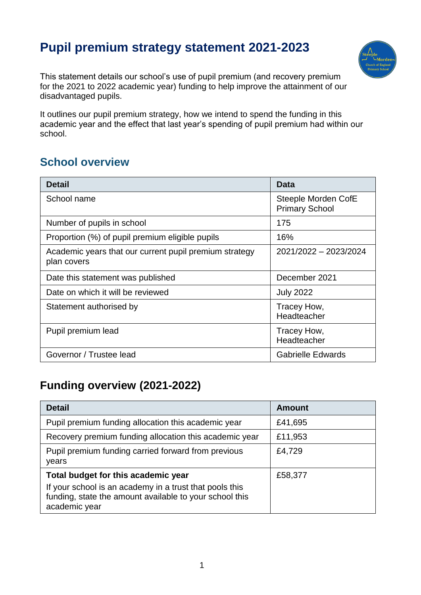# **Pupil premium strategy statement 2021-2023**



This statement details our school's use of pupil premium (and recovery premium for the 2021 to 2022 academic year) funding to help improve the attainment of our disadvantaged pupils.

It outlines our pupil premium strategy, how we intend to spend the funding in this academic year and the effect that last year's spending of pupil premium had within our school.

#### **School overview**

| <b>Detail</b>                                                         | <b>Data</b>                                  |
|-----------------------------------------------------------------------|----------------------------------------------|
| School name                                                           | Steeple Morden CofE<br><b>Primary School</b> |
| Number of pupils in school                                            | 175                                          |
| Proportion (%) of pupil premium eligible pupils                       | 16%                                          |
| Academic years that our current pupil premium strategy<br>plan covers | 2021/2022 - 2023/2024                        |
| Date this statement was published                                     | December 2021                                |
| Date on which it will be reviewed                                     | <b>July 2022</b>                             |
| Statement authorised by                                               | Tracey How,<br>Headteacher                   |
| Pupil premium lead                                                    | Tracey How,<br>Headteacher                   |
| Governor / Trustee lead                                               | <b>Gabrielle Edwards</b>                     |

#### **Funding overview (2021-2022)**

| <b>Detail</b>                                                                                                                                                              | <b>Amount</b> |
|----------------------------------------------------------------------------------------------------------------------------------------------------------------------------|---------------|
| Pupil premium funding allocation this academic year                                                                                                                        | £41,695       |
| Recovery premium funding allocation this academic year                                                                                                                     | £11,953       |
| Pupil premium funding carried forward from previous<br>years                                                                                                               | £4,729        |
| Total budget for this academic year<br>If your school is an academy in a trust that pools this<br>funding, state the amount available to your school this<br>academic year | £58,377       |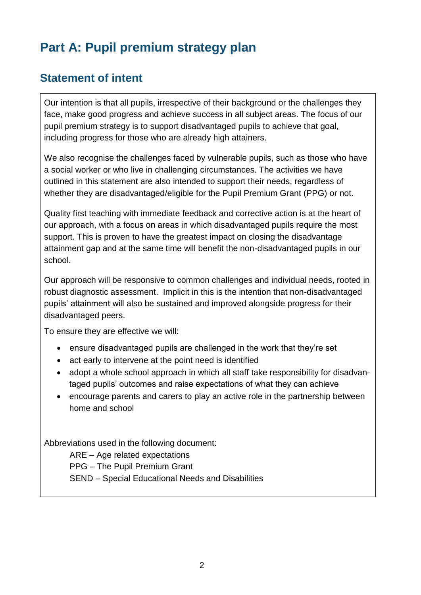# **Part A: Pupil premium strategy plan**

#### **Statement of intent**

Our intention is that all pupils, irrespective of their background or the challenges they face, make good progress and achieve success in all subject areas. The focus of our pupil premium strategy is to support disadvantaged pupils to achieve that goal, including progress for those who are already high attainers.

We also recognise the challenges faced by vulnerable pupils, such as those who have a social worker or who live in challenging circumstances. The activities we have outlined in this statement are also intended to support their needs, regardless of whether they are disadvantaged/eligible for the Pupil Premium Grant (PPG) or not.

Quality first teaching with immediate feedback and corrective action is at the heart of our approach, with a focus on areas in which disadvantaged pupils require the most support. This is proven to have the greatest impact on closing the disadvantage attainment gap and at the same time will benefit the non-disadvantaged pupils in our school.

Our approach will be responsive to common challenges and individual needs, rooted in robust diagnostic assessment. Implicit in this is the intention that non-disadvantaged pupils' attainment will also be sustained and improved alongside progress for their disadvantaged peers.

To ensure they are effective we will:

- ensure disadvantaged pupils are challenged in the work that they're set
- act early to intervene at the point need is identified
- adopt a whole school approach in which all staff take responsibility for disadvantaged pupils' outcomes and raise expectations of what they can achieve
- encourage parents and carers to play an active role in the partnership between home and school

Abbreviations used in the following document:

ARE – Age related expectations

PPG – The Pupil Premium Grant

SEND – Special Educational Needs and Disabilities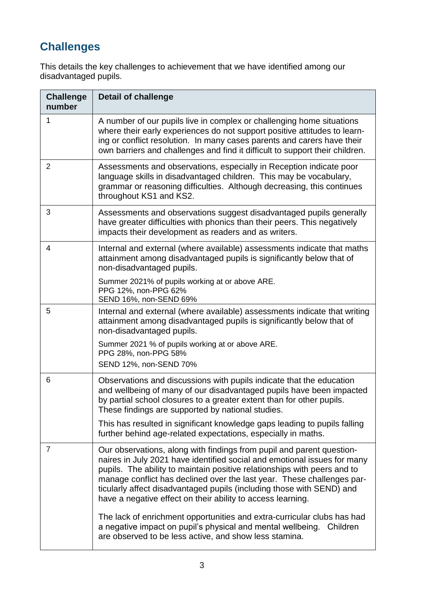## **Challenges**

This details the key challenges to achievement that we have identified among our disadvantaged pupils.

| <b>Challenge</b><br>number | <b>Detail of challenge</b>                                                                                                                                                                                                                                                                                                                                                                                                                      |
|----------------------------|-------------------------------------------------------------------------------------------------------------------------------------------------------------------------------------------------------------------------------------------------------------------------------------------------------------------------------------------------------------------------------------------------------------------------------------------------|
| 1                          | A number of our pupils live in complex or challenging home situations<br>where their early experiences do not support positive attitudes to learn-<br>ing or conflict resolution. In many cases parents and carers have their<br>own barriers and challenges and find it difficult to support their children.                                                                                                                                   |
| 2                          | Assessments and observations, especially in Reception indicate poor<br>language skills in disadvantaged children. This may be vocabulary,<br>grammar or reasoning difficulties. Although decreasing, this continues<br>throughout KS1 and KS2.                                                                                                                                                                                                  |
| 3                          | Assessments and observations suggest disadvantaged pupils generally<br>have greater difficulties with phonics than their peers. This negatively<br>impacts their development as readers and as writers.                                                                                                                                                                                                                                         |
| 4                          | Internal and external (where available) assessments indicate that maths<br>attainment among disadvantaged pupils is significantly below that of<br>non-disadvantaged pupils.                                                                                                                                                                                                                                                                    |
|                            | Summer 2021% of pupils working at or above ARE.<br>PPG 12%, non-PPG 62%<br>SEND 16%, non-SEND 69%                                                                                                                                                                                                                                                                                                                                               |
| 5                          | Internal and external (where available) assessments indicate that writing<br>attainment among disadvantaged pupils is significantly below that of<br>non-disadvantaged pupils.                                                                                                                                                                                                                                                                  |
|                            | Summer 2021 % of pupils working at or above ARE.<br>PPG 28%, non-PPG 58%<br>SEND 12%, non-SEND 70%                                                                                                                                                                                                                                                                                                                                              |
| 6                          | Observations and discussions with pupils indicate that the education<br>and wellbeing of many of our disadvantaged pupils have been impacted<br>by partial school closures to a greater extent than for other pupils.<br>These findings are supported by national studies.                                                                                                                                                                      |
|                            | This has resulted in significant knowledge gaps leading to pupils falling<br>further behind age-related expectations, especially in maths.                                                                                                                                                                                                                                                                                                      |
| 7                          | Our observations, along with findings from pupil and parent question-<br>naires in July 2021 have identified social and emotional issues for many<br>pupils. The ability to maintain positive relationships with peers and to<br>manage conflict has declined over the last year. These challenges par-<br>ticularly affect disadvantaged pupils (including those with SEND) and<br>have a negative effect on their ability to access learning. |
|                            | The lack of enrichment opportunities and extra-curricular clubs has had<br>a negative impact on pupil's physical and mental wellbeing.<br>Children<br>are observed to be less active, and show less stamina.                                                                                                                                                                                                                                    |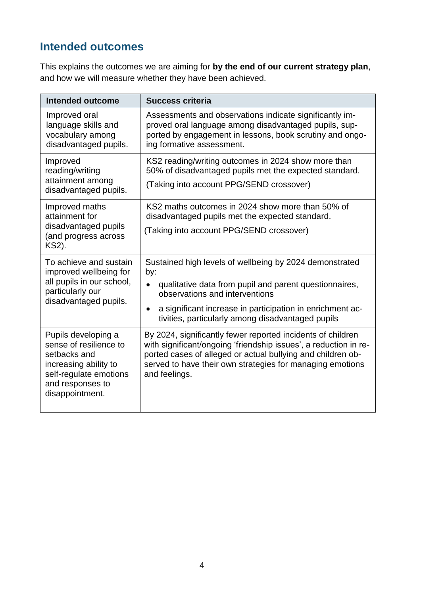### **Intended outcomes**

This explains the outcomes we are aiming for **by the end of our current strategy plan**, and how we will measure whether they have been achieved.

| Intended outcome                                                                                                                                        | <b>Success criteria</b>                                                                                                                                                                                                                                                                   |
|---------------------------------------------------------------------------------------------------------------------------------------------------------|-------------------------------------------------------------------------------------------------------------------------------------------------------------------------------------------------------------------------------------------------------------------------------------------|
| Improved oral<br>language skills and<br>vocabulary among<br>disadvantaged pupils.                                                                       | Assessments and observations indicate significantly im-<br>proved oral language among disadvantaged pupils, sup-<br>ported by engagement in lessons, book scrutiny and ongo-<br>ing formative assessment.                                                                                 |
| Improved<br>reading/writing<br>attainment among<br>disadvantaged pupils.                                                                                | KS2 reading/writing outcomes in 2024 show more than<br>50% of disadvantaged pupils met the expected standard.<br>(Taking into account PPG/SEND crossover)                                                                                                                                 |
| Improved maths<br>attainment for<br>disadvantaged pupils<br>(and progress across<br>KS2).                                                               | KS2 maths outcomes in 2024 show more than 50% of<br>disadvantaged pupils met the expected standard.<br>(Taking into account PPG/SEND crossover)                                                                                                                                           |
| To achieve and sustain<br>improved wellbeing for<br>all pupils in our school,<br>particularly our<br>disadvantaged pupils.                              | Sustained high levels of wellbeing by 2024 demonstrated<br>by:<br>qualitative data from pupil and parent questionnaires,<br>observations and interventions<br>a significant increase in participation in enrichment ac-<br>$\bullet$<br>tivities, particularly among disadvantaged pupils |
| Pupils developing a<br>sense of resilience to<br>setbacks and<br>increasing ability to<br>self-regulate emotions<br>and responses to<br>disappointment. | By 2024, significantly fewer reported incidents of children<br>with significant/ongoing 'friendship issues', a reduction in re-<br>ported cases of alleged or actual bullying and children ob-<br>served to have their own strategies for managing emotions<br>and feelings.              |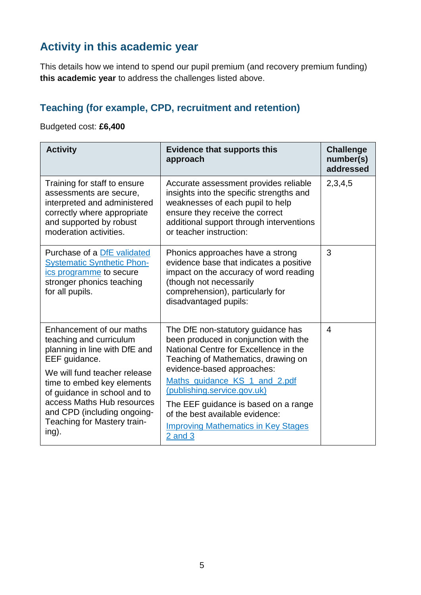### **Activity in this academic year**

This details how we intend to spend our pupil premium (and recovery premium funding) **this academic year** to address the challenges listed above.

#### **Teaching (for example, CPD, recruitment and retention)**

Budgeted cost: **£6,400**

| <b>Activity</b>                                                                                                                                                                                                                                                                                          | <b>Evidence that supports this</b><br>approach                                                                                                                                                                                                                                                                                                                                                    | <b>Challenge</b><br>number(s)<br>addressed |
|----------------------------------------------------------------------------------------------------------------------------------------------------------------------------------------------------------------------------------------------------------------------------------------------------------|---------------------------------------------------------------------------------------------------------------------------------------------------------------------------------------------------------------------------------------------------------------------------------------------------------------------------------------------------------------------------------------------------|--------------------------------------------|
| Training for staff to ensure<br>assessments are secure,<br>interpreted and administered<br>correctly where appropriate<br>and supported by robust<br>moderation activities.                                                                                                                              | Accurate assessment provides reliable<br>insights into the specific strengths and<br>weaknesses of each pupil to help<br>ensure they receive the correct<br>additional support through interventions<br>or teacher instruction:                                                                                                                                                                   | 2,3,4,5                                    |
| Purchase of a DfE validated<br><b>Systematic Synthetic Phon-</b><br>ics programme to secure<br>stronger phonics teaching<br>for all pupils.                                                                                                                                                              | Phonics approaches have a strong<br>evidence base that indicates a positive<br>impact on the accuracy of word reading<br>(though not necessarily<br>comprehension), particularly for<br>disadvantaged pupils:                                                                                                                                                                                     | 3                                          |
| Enhancement of our maths<br>teaching and curriculum<br>planning in line with DfE and<br>EEF guidance.<br>We will fund teacher release<br>time to embed key elements<br>of guidance in school and to<br>access Maths Hub resources<br>and CPD (including ongoing-<br>Teaching for Mastery train-<br>ing). | The DfE non-statutory guidance has<br>been produced in conjunction with the<br>National Centre for Excellence in the<br>Teaching of Mathematics, drawing on<br>evidence-based approaches:<br>Maths_guidance_KS_1_and_2.pdf<br>(publishing.service.gov.uk)<br>The EEF guidance is based on a range<br>of the best available evidence:<br><b>Improving Mathematics in Key Stages</b><br>$2$ and $3$ | 4                                          |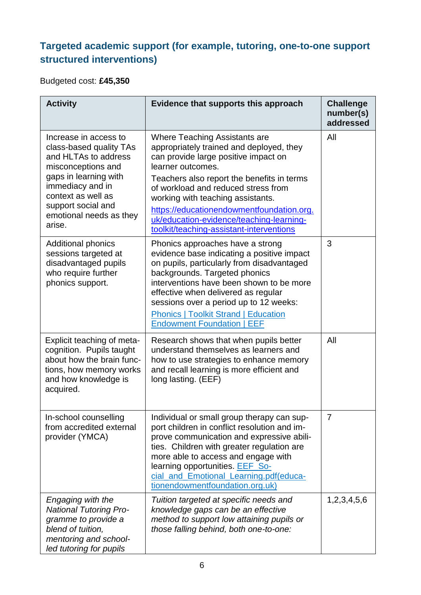#### **Targeted academic support (for example, tutoring, one-to-one support structured interventions)**

Budgeted cost: **£45,350**

| <b>Activity</b>                                                                                                                                                                                                              | Evidence that supports this approach                                                                                                                                                                                                                                                                                                                                                                  | <b>Challenge</b><br>number(s)<br>addressed |
|------------------------------------------------------------------------------------------------------------------------------------------------------------------------------------------------------------------------------|-------------------------------------------------------------------------------------------------------------------------------------------------------------------------------------------------------------------------------------------------------------------------------------------------------------------------------------------------------------------------------------------------------|--------------------------------------------|
| Increase in access to<br>class-based quality TAs<br>and HLTAs to address<br>misconceptions and<br>gaps in learning with<br>immediacy and in<br>context as well as<br>support social and<br>emotional needs as they<br>arise. | Where Teaching Assistants are<br>appropriately trained and deployed, they<br>can provide large positive impact on<br>learner outcomes.<br>Teachers also report the benefits in terms<br>of workload and reduced stress from<br>working with teaching assistants.<br>https://educationendowmentfoundation.org.<br>uk/education-evidence/teaching-learning-<br>toolkit/teaching-assistant-interventions | All                                        |
| <b>Additional phonics</b><br>sessions targeted at<br>disadvantaged pupils<br>who require further<br>phonics support.                                                                                                         | Phonics approaches have a strong<br>evidence base indicating a positive impact<br>on pupils, particularly from disadvantaged<br>backgrounds. Targeted phonics<br>interventions have been shown to be more<br>effective when delivered as regular<br>sessions over a period up to 12 weeks:<br><b>Phonics   Toolkit Strand   Education</b><br><b>Endowment Foundation   EEF</b>                        | 3                                          |
| Explicit teaching of meta-<br>cognition. Pupils taught<br>about how the brain func-<br>tions, how memory works<br>and how knowledge is<br>acquired.                                                                          | Research shows that when pupils better<br>understand themselves as learners and<br>how to use strategies to enhance memory<br>and recall learning is more efficient and<br>long lasting. (EEF)                                                                                                                                                                                                        | All                                        |
| In-school counselling<br>from accredited external<br>provider (YMCA)                                                                                                                                                         | Individual or small group therapy can sup-<br>port children in conflict resolution and im-<br>prove communication and expressive abili-<br>ties. Children with greater regulation are<br>more able to access and engage with<br>learning opportunities. EEF_So-<br>cial_and_Emotional_Learning.pdf(educa-<br>tionendowmentfoundation.org.uk)                                                          | $\overline{7}$                             |
| Engaging with the<br><b>National Tutoring Pro-</b><br>gramme to provide a<br>blend of tuition,<br>mentoring and school-<br>led tutoring for pupils                                                                           | Tuition targeted at specific needs and<br>knowledge gaps can be an effective<br>method to support low attaining pupils or<br>those falling behind, both one-to-one:                                                                                                                                                                                                                                   | 1,2,3,4,5,6                                |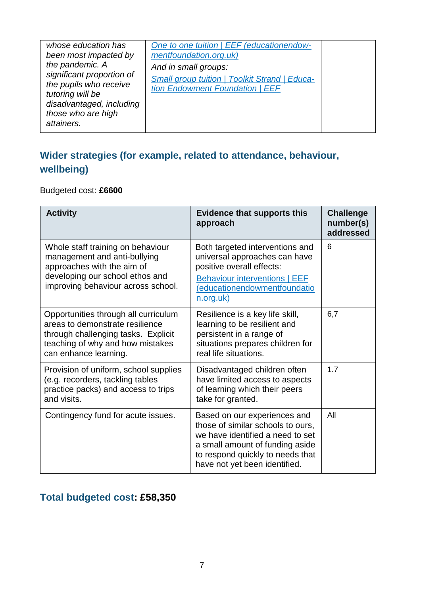| whose education has<br>been most impacted by<br>the pandemic. A<br>significant proportion of<br>the pupils who receive<br>tutoring will be<br>disadvantaged, including<br>those who are high<br>attainers. | One to one tuition   EEF (educationendow-<br>mentfoundation.org.uk)<br>And in small groups:<br><b>Small group tuition   Toolkit Strand   Educa-</b><br>tion Endowment Foundation   EEF |  |
|------------------------------------------------------------------------------------------------------------------------------------------------------------------------------------------------------------|----------------------------------------------------------------------------------------------------------------------------------------------------------------------------------------|--|
|                                                                                                                                                                                                            |                                                                                                                                                                                        |  |

#### **Wider strategies (for example, related to attendance, behaviour, wellbeing)**

Budgeted cost: **£6600**

| <b>Activity</b>                                                                                                                                                             | <b>Evidence that supports this</b><br>approach                                                                                                                                                                | <b>Challenge</b><br>number(s)<br>addressed |
|-----------------------------------------------------------------------------------------------------------------------------------------------------------------------------|---------------------------------------------------------------------------------------------------------------------------------------------------------------------------------------------------------------|--------------------------------------------|
| Whole staff training on behaviour<br>management and anti-bullying<br>approaches with the aim of<br>developing our school ethos and<br>improving behaviour across school.    | Both targeted interventions and<br>universal approaches can have<br>positive overall effects:<br><b>Behaviour interventions   EEF</b><br>(educationendowmentfoundatio<br><u>n.org.uk)</u>                     | 6                                          |
| Opportunities through all curriculum<br>areas to demonstrate resilience<br>through challenging tasks. Explicit<br>teaching of why and how mistakes<br>can enhance learning. | Resilience is a key life skill,<br>learning to be resilient and<br>persistent in a range of<br>situations prepares children for<br>real life situations.                                                      | 6,7                                        |
| Provision of uniform, school supplies<br>(e.g. recorders, tackling tables<br>practice packs) and access to trips<br>and visits.                                             | Disadvantaged children often<br>have limited access to aspects<br>of learning which their peers<br>take for granted.                                                                                          | 1.7                                        |
| Contingency fund for acute issues.                                                                                                                                          | Based on our experiences and<br>those of similar schools to ours,<br>we have identified a need to set<br>a small amount of funding aside<br>to respond quickly to needs that<br>have not yet been identified. | All                                        |

#### **Total budgeted cost: £58,350**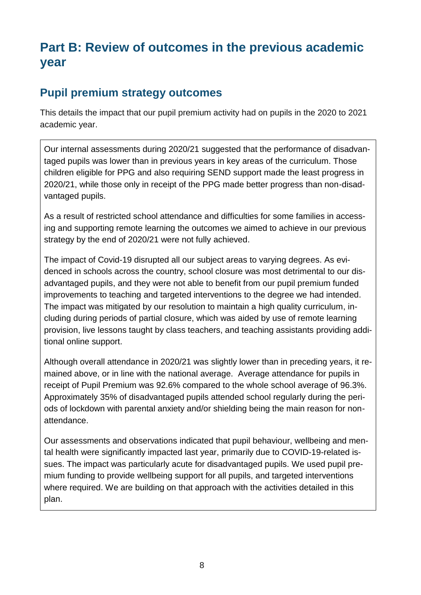# **Part B: Review of outcomes in the previous academic year**

#### **Pupil premium strategy outcomes**

This details the impact that our pupil premium activity had on pupils in the 2020 to 2021 academic year.

Our internal assessments during 2020/21 suggested that the performance of disadvantaged pupils was lower than in previous years in key areas of the curriculum. Those children eligible for PPG and also requiring SEND support made the least progress in 2020/21, while those only in receipt of the PPG made better progress than non-disadvantaged pupils.

As a result of restricted school attendance and difficulties for some families in accessing and supporting remote learning the outcomes we aimed to achieve in our previous strategy by the end of 2020/21 were not fully achieved.

The impact of Covid-19 disrupted all our subject areas to varying degrees. As evidenced in schools across the country, school closure was most detrimental to our disadvantaged pupils, and they were not able to benefit from our pupil premium funded improvements to teaching and targeted interventions to the degree we had intended. The impact was mitigated by our resolution to maintain a high quality curriculum, including during periods of partial closure, which was aided by use of remote learning provision, live lessons taught by class teachers, and teaching assistants providing additional online support.

Although overall attendance in 2020/21 was slightly lower than in preceding years, it remained above, or in line with the national average. Average attendance for pupils in receipt of Pupil Premium was 92.6% compared to the whole school average of 96.3%. Approximately 35% of disadvantaged pupils attended school regularly during the periods of lockdown with parental anxiety and/or shielding being the main reason for nonattendance.

Our assessments and observations indicated that pupil behaviour, wellbeing and mental health were significantly impacted last year, primarily due to COVID-19-related issues. The impact was particularly acute for disadvantaged pupils. We used pupil premium funding to provide wellbeing support for all pupils, and targeted interventions where required. We are building on that approach with the activities detailed in this plan.